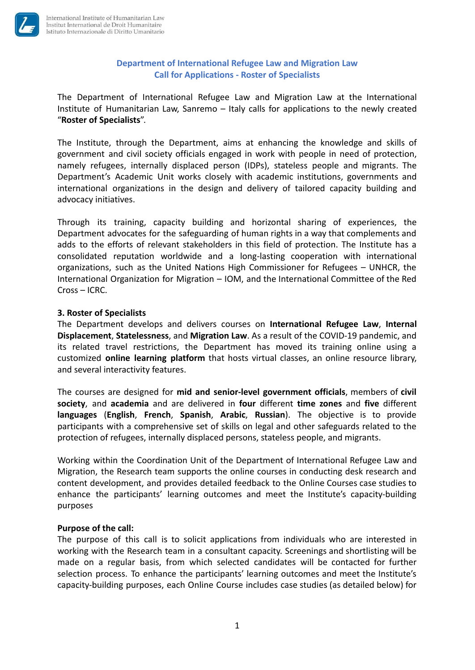

# **Department of International Refugee Law and Migration Law Call for Applications - Roster of Specialists**

The Department of International Refugee Law and Migration Law at the International Institute of Humanitarian Law, Sanremo – Italy calls for applications to the newly created "**Roster of Specialists**".

The Institute, through the Department, aims at enhancing the knowledge and skills of government and civil society officials engaged in work with people in need of protection, namely refugees, internally displaced person (IDPs), stateless people and migrants. The Department's Academic Unit works closely with academic institutions, governments and international organizations in the design and delivery of tailored capacity building and advocacy initiatives.

Through its training, capacity building and horizontal sharing of experiences, the Department advocates for the safeguarding of human rights in a way that complements and adds to the efforts of relevant stakeholders in this field of protection. The Institute has a consolidated reputation worldwide and a long-lasting cooperation with international organizations, such as the United Nations High Commissioner for Refugees – UNHCR, the International Organization for Migration – IOM, and the International Committee of the Red Cross – ICRC.

# **3. Roster of Specialists**

The Department develops and delivers courses on **International Refugee Law**, **Internal Displacement**, **Statelessness**, and **Migration Law**. As a result of the COVID-19 pandemic, and its related travel restrictions, the Department has moved its training online using a customized **online learning platform** that hosts virtual classes, an online resource library, and several interactivity features.

The courses are designed for **mid and senior-level government officials**, members of **civil society**, and **academia** and are delivered in **four** different **time zones** and **five** different **languages** (**English**, **French**, **Spanish**, **Arabic**, **Russian**). The objective is to provide participants with a comprehensive set of skills on legal and other safeguards related to the protection of refugees, internally displaced persons, stateless people, and migrants.

Working within the Coordination Unit of the Department of International Refugee Law and Migration, the Research team supports the online courses in conducting desk research and content development, and provides detailed feedback to the Online Courses case studies to enhance the participants' learning outcomes and meet the Institute's capacity-building purposes

### **Purpose of the call:**

The purpose of this call is to solicit applications from individuals who are interested in working with the Research team in a consultant capacity. Screenings and shortlisting will be made on a regular basis, from which selected candidates will be contacted for further selection process. To enhance the participants' learning outcomes and meet the Institute's capacity-building purposes, each Online Course includes case studies (as detailed below) for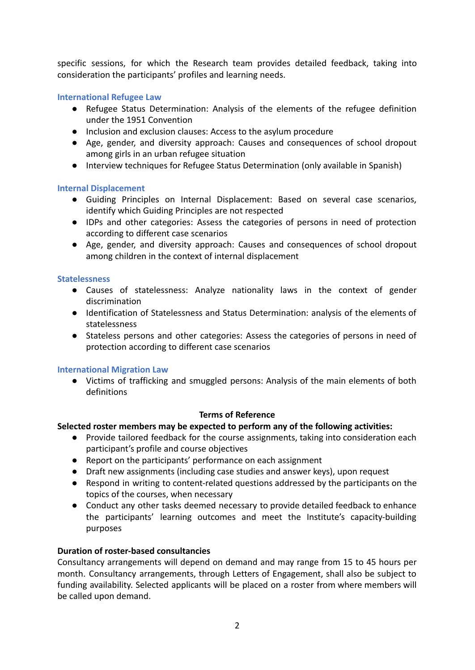specific sessions, for which the Research team provides detailed feedback, taking into consideration the participants' profiles and learning needs.

# **International Refugee Law**

- Refugee Status Determination: Analysis of the elements of the refugee definition under the 1951 Convention
- Inclusion and exclusion clauses: Access to the asylum procedure
- Age, gender, and diversity approach: Causes and consequences of school dropout among girls in an urban refugee situation
- Interview techniques for Refugee Status Determination (only available in Spanish)

### **Internal Displacement**

- Guiding Principles on Internal Displacement: Based on several case scenarios, identify which Guiding Principles are not respected
- IDPs and other categories: Assess the categories of persons in need of protection according to different case scenarios
- Age, gender, and diversity approach: Causes and consequences of school dropout among children in the context of internal displacement

### **Statelessness**

- Causes of statelessness: Analyze nationality laws in the context of gender discrimination
- Identification of Statelessness and Status Determination: analysis of the elements of statelessness
- Stateless persons and other categories: Assess the categories of persons in need of protection according to different case scenarios

### **International Migration Law**

● Victims of trafficking and smuggled persons: Analysis of the main elements of both definitions

### **Terms of Reference**

### **Selected roster members may be expected to perform any of the following activities:**

- Provide tailored feedback for the course assignments, taking into consideration each participant's profile and course objectives
- Report on the participants' performance on each assignment
- Draft new assignments (including case studies and answer keys), upon request
- Respond in writing to content-related questions addressed by the participants on the topics of the courses, when necessary
- Conduct any other tasks deemed necessary to provide detailed feedback to enhance the participants' learning outcomes and meet the Institute's capacity-building purposes

### **Duration of roster-based consultancies**

Consultancy arrangements will depend on demand and may range from 15 to 45 hours per month. Consultancy arrangements, through Letters of Engagement, shall also be subject to funding availability. Selected applicants will be placed on a roster from where members will be called upon demand.